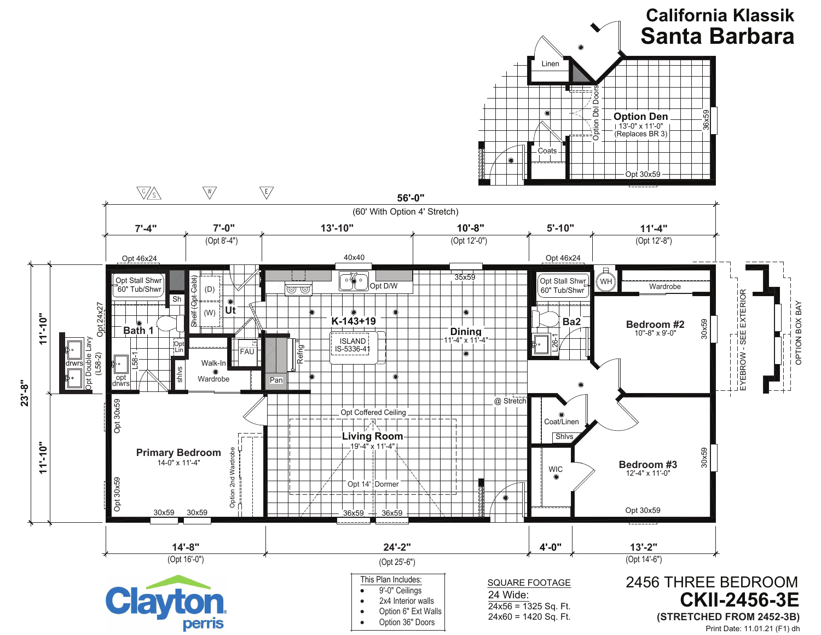